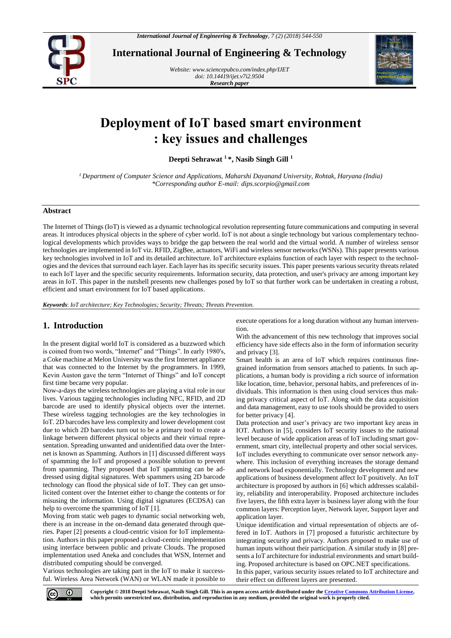

**International Journal of Engineering & Technology**

*Website: www.sciencepubco.com/index.php/IJET doi: 10.14419/ijet.v7i2.9504 Research paper*



# **Deployment of IoT based smart environment : key issues and challenges**

**Deepti Sehrawat <sup>1</sup> \*, Nasib Singh Gill <sup>1</sup>**

*<sup>1</sup> Department of Computer Science and Applications, Maharshi Dayanand University, Rohtak, Haryana (India) \*Corresponding author E-mail: dips.scorpio@gmail.com*

# **Abstract**

The Internet of Things (IoT) is viewed as a dynamic technological revolution representing future communications and computing in several areas. It introduces physical objects in the sphere of cyber world. IoT is not about a single technology but various complementary technological developments which provides ways to bridge the gap between the real world and the virtual world. A number of wireless sensor technologies are implemented in IoT viz. RFID, ZigBee, actuators, WiFi and wireless sensor networks (WSNs). This paper presents various key technologies involved in IoT and its detailed architecture. IoT architecture explains function of each layer with respect to the technologies and the devices that surround each layer. Each layer has its specific security issues. This paper presents various security threats related to each IoT layer and the specific security requirements. Information security, data protection, and user's privacy are among important key areas in IoT. This paper in the nutshell presents new challenges posed by IoT so that further work can be undertaken in creating a robust, efficient and smart environment for IoT based applications.

*Keywords*: *IoT architecture; Key Technologies; Security; Threats; Threats Prevention.*

# **1. Introduction**

In the present digital world IoT is considered as a buzzword which is coined from two words, "Internet" and "Things". In early 1980's, a Coke machine at Melon University was the first Internet appliance that was connected to the Internet by the programmers. In 1999, Kevin Auston gave the term "Internet of Things" and IoT concept first time became very popular.

Now-a-days the wireless technologies are playing a vital role in our lives. Various tagging technologies including NFC, RFID, and 2D barcode are used to identify physical objects over the internet. These wireless tagging technologies are the key technologies in IoT. 2D barcodes have less complexity and lower development cost due to which 2D barcodes turn out to be a primary tool to create a linkage between different physical objects and their virtual representation. Spreading unwanted and unidentified data over the Internet is known as Spamming. Authors in [1] discussed different ways of spamming the IoT and proposed a possible solution to prevent from spamming. They proposed that IoT spamming can be addressed using digital signatures. Web spammers using 2D barcode technology can flood the physical side of IoT. They can get unsolicited content over the Internet either to change the contents or for misusing the information. Using digital signatures (ECDSA) can help to overcome the spamming of IoT [1].

Moving from static web pages to dynamic social networking web, there is an increase in the on-demand data generated through queries. Paper [2] presents a cloud-centric vision for IoT implementation. Authors in this paper proposed a cloud-centric implementation using interface between public and private Clouds. The proposed implementation used Aneka and concludes that WSN, Internet and distributed computing should be converged.

Various technologies are taking part in the IoT to make it successful. Wireless Area Network (WAN) or WLAN made it possible to execute operations for a long duration without any human intervention.

With the advancement of this new technology that improves social efficiency have side effects also in the form of information security and privacy [3].

Smart health is an area of IoT which requires continuous finegrained information from sensors attached to patients. In such applications, a human body is providing a rich source of information like location, time, behavior, personal habits, and preferences of individuals. This information is then using cloud services thus making privacy critical aspect of IoT. Along with the data acquisition and data management, easy to use tools should be provided to users for better privacy [4].

Data protection and user's privacy are two important key areas in IOT. Authors in [5], considers IoT security issues to the national level because of wide application areas of IoT including smart government, smart city, intellectual property and other social services. IoT includes everything to communicate over sensor network anywhere. This inclusion of everything increases the storage demand and network load exponentially. Technology development and new applications of business development affect IoT positively. An IoT architecture is proposed by authors in [6] which addresses scalability, reliability and interoperability. Proposed architecture includes five layers, the fifth extra layer is business layer along with the four common layers: Perception layer, Network layer, Support layer and application layer.

Unique identification and virtual representation of objects are offered in IoT. Authors in [7] proposed a futuristic architecture by integrating security and privacy. Authors proposed to make use of human inputs without their participation. A similar study in [8] presents a IoT architecture for industrial environments and smart building. Proposed architecture is based on OPC.NET specifications.

In this paper, various security issues related to IoT architecture and their effect on different layers are presented.



**Copyright © 2018 Deepti Sehrawat, Nasib Singh Gill. This is an open access article distributed under th[e Creative Commons Attribution License,](http://creativecommons.org/licenses/by/3.0/)  which permits unrestricted use, distribution, and reproduction in any medium, provided the original work is properly cited.**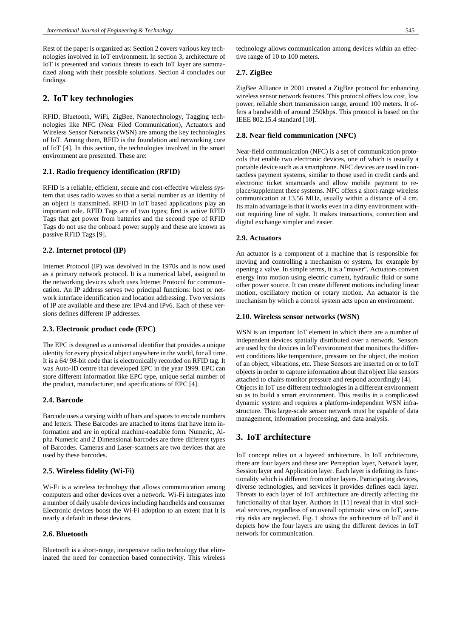Rest of the paper is organized as: Section 2 covers various key technologies involved in IoT environment. In section 3, architecture of IoT is presented and various threats to each IoT layer are summarized along with their possible solutions. Section 4 concludes our findings.

# **2. IoT key technologies**

RFID, Bluetooth, WiFi, ZigBee, Nanotechnology, Tagging technologies like NFC (Near Filed Communication), Actuators and Wireless Sensor Networks (WSN) are among the key technologies of IoT. Among them, RFID is the foundation and networking core of IoT [4]. In this section, the technologies involved in the smart environment are presented. These are:

## **2.1. Radio frequency identification (RFID)**

RFID is a reliable, efficient, secure and cost-effective wireless system that uses radio waves so that a serial number as an identity of an object is transmitted. RFID in IoT based applications play an important role. RFID Tags are of two types; first is active RFID Tags that get power from batteries and the second type of RFID Tags do not use the onboard power supply and these are known as passive RFID Tags [9].

## **2.2. Internet protocol (IP)**

Internet Protocol (IP) was devolved in the 1970s and is now used as a primary network protocol. It is a numerical label, assigned to the networking devices which uses Internet Protocol for communication. An IP address serves two principal functions: host or network interface identification and location addressing. Two versions of IP are available and these are: IPv4 and IPv6. Each of these versions defines different IP addresses.

#### **2.3. Electronic product code (EPC)**

The EPC is designed as a universal identifier that provides a unique identity for every physical object anywhere in the world, for all time. It is a 64/ 98-bit code that is electronically recorded on RFID tag. It was Auto-ID centre that developed EPC in the year 1999. EPC can store different information like EPC type, unique serial number of the product, manufacturer, and specifications of EPC [4].

#### **2.4. Barcode**

Barcode uses a varying width of bars and spaces to encode numbers and letters. These Barcodes are attached to items that have item information and are in optical machine-readable form. Numeric, Alpha Numeric and 2 Dimensional barcodes are three different types of Barcodes. Cameras and Laser-scanners are two devices that are used by these barcodes.

## **2.5. Wireless fidelity (Wi-Fi)**

Wi-Fi is a wireless technology that allows communication among computers and other devices over a network. Wi-Fi integrates into a number of daily usable devices including handhelds and consumer Electronic devices boost the Wi-Fi adoption to an extent that it is nearly a default in these devices.

# **2.6. Bluetooth**

Bluetooth is a short-range, inexpensive radio technology that eliminated the need for connection based connectivity. This wireless technology allows communication among devices within an effective range of 10 to 100 meters.

## **2.7. ZigBee**

ZigBee Alliance in 2001 created a ZigBee protocol for enhancing wireless sensor network features. This protocol offers low cost, low power, reliable short transmission range, around 100 meters. It offers a bandwidth of around 250kbps. This protocol is based on the IEEE 802.15.4 standard [10].

#### **2.8. Near field communication (NFC)**

Near-field communication (NFC) is a set of communication protocols that enable two electronic devices, one of which is usually a portable device such as a smartphone. NFC devices are used in contactless payment systems, similar to those used in credit cards and electronic ticket smartcards and allow mobile payment to replace/supplement these systems. NFC offers a short-range wireless communication at 13.56 MHz, usually within a distance of 4 cm. Its main advantage is that it works even in a dirty environment without requiring line of sight. It makes transactions, connection and digital exchange simpler and easier.

## **2.9. Actuators**

An actuator is a component of a machine that is responsible for moving and controlling a mechanism or system, for example by opening a valve. In simple terms, it is a "mover". Actuators convert energy into motion using electric current, hydraulic fluid or some other power source. It can create different motions including linear motion, oscillatory motion or rotary motion. An actuator is the mechanism by which a control system acts upon an environment.

#### **2.10. Wireless sensor networks (WSN)**

WSN is an important IoT element in which there are a number of independent devices spatially distributed over a network. Sensors are used by the devices in IoT environment that monitors the different conditions like temperature, pressure on the object, the motion of an object, vibrations, etc. These Sensors are inserted on or to IoT objects in order to capture information about that object like sensors attached to chairs monitor pressure and respond accordingly [4]. Objects in IoT use different technologies in a different environment so as to build a smart environment. This results in a complicated dynamic system and requires a platform-independent WSN infrastructure. This large-scale sensor network must be capable of data management, information processing, and data analysis.

# **3. IoT architecture**

IoT concept relies on a layered architecture. In IoT architecture, there are four layers and these are: Perception layer, Network layer, Session layer and Application layer. Each layer is defining its functionality which is different from other layers. Participating devices, diverse technologies, and services it provides defines each layer. Threats to each layer of IoT architecture are directly affecting the functionality of that layer. Authors in [11] reveal that in vital societal services, regardless of an overall optimistic view on IoT, security risks are neglected. Fig. 1 shows the architecture of IoT and it depicts how the four layers are using the different devices in IoT network for communication.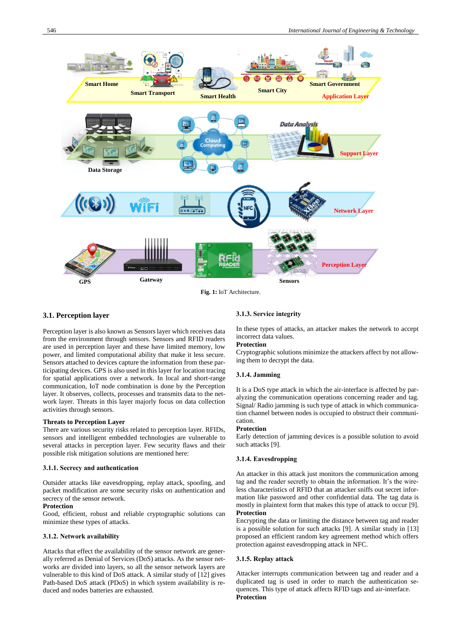

**Fig. 1:** IoT Architecture.

#### **3.1. Perception layer**

Perception layer is also known as Sensors layer which receives data from the environment through sensors. Sensors and RFID readers are used in perception layer and these have limited memory, low power, and limited computational ability that make it less secure. Sensors attached to devices capture the information from these participating devices. GPS is also used in this layer for location tracing for spatial applications over a network. In local and short-range communication, IoT node combination is done by the Perception layer. It observes, collects, processes and transmits data to the network layer. Threats in this layer majorly focus on data collection activities through sensors.

#### **Threats to Perception Layer**

There are various security risks related to perception layer. RFIDs, sensors and intelligent embedded technologies are vulnerable to several attacks in perception layer. Few security flaws and their possible risk mitigation solutions are mentioned here:

#### **3.1.1. Secrecy and authentication**

Outsider attacks like eavesdropping, replay attack, spoofing, and packet modification are some security risks on authentication and secrecy of the sensor network.

## **Protection**

Good, efficient, robust and reliable cryptographic solutions can minimize these types of attacks.

#### **3.1.2. Network availability**

Attacks that effect the availability of the sensor network are generally referred as Denial of Services (DoS) attacks. As the sensor networks are divided into layers, so all the sensor network layers are vulnerable to this kind of DoS attack. A similar study of [12] gives Path-based DoS attack (PDoS) in which system availability is reduced and nodes batteries are exhausted.

#### **3.1.3. Service integrity**

In these types of attacks, an attacker makes the network to accept incorrect data values.

## **Protection**

Cryptographic solutions minimize the attackers affect by not allowing them to decrypt the data.

#### **3.1.4. Jamming**

It is a DoS type attack in which the air-interface is affected by paralyzing the communication operations concerning reader and tag. Signal/ Radio jamming is such type of attack in which communication channel between nodes is occupied to obstruct their communication.

#### **Protection**

Early detection of jamming devices is a possible solution to avoid such attacks [9].

#### **3.1.4. Eavesdropping**

An attacker in this attack just monitors the communication among tag and the reader secretly to obtain the information. It's the wireless characteristics of RFID that an attacker sniffs out secret information like password and other confidential data. The tag data is mostly in plaintext form that makes this type of attack to occur [9]. **Protection**

Encrypting the data or limiting the distance between tag and reader is a possible solution for such attacks [9]. A similar study in [13] proposed an efficient random key agreement method which offers protection against eavesdropping attack in NFC.

## **3.1.5. Replay attack**

Attacker interrupts communication between tag and reader and a duplicated tag is used in order to match the authentication sequences. This type of attack affects RFID tags and air-interface. **Protection**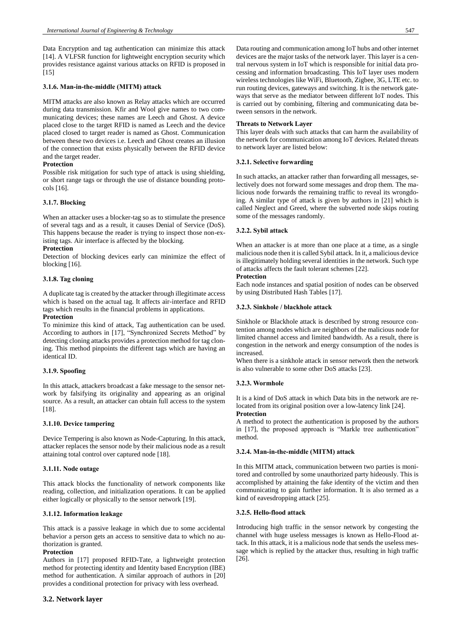Data Encryption and tag authentication can minimize this attack [14]. A VLFSR function for lightweight encryption security which provides resistance against various attacks on RFID is proposed in [15]

## **3.1.6. Man-in-the-middle (MITM) attack**

MITM attacks are also known as Relay attacks which are occurred during data transmission. Kfir and Wool give names to two communicating devices; these names are Leech and Ghost. A device placed close to the target RFID is named as Leech and the device placed closed to target reader is named as Ghost. Communication between these two devices i.e. Leech and Ghost creates an illusion of the connection that exists physically between the RFID device and the target reader.

## **Protection**

Possible risk mitigation for such type of attack is using shielding, or short range tags or through the use of distance bounding protocols [16].

## **3.1.7. Blocking**

When an attacker uses a blocker-tag so as to stimulate the presence of several tags and as a result, it causes Denial of Service (DoS). This happens because the reader is trying to inspect those non-existing tags. Air interface is affected by the blocking.

## **Protection**

Detection of blocking devices early can minimize the effect of blocking [16].

## **3.1.8. Tag cloning**

A duplicate tag is created by the attacker through illegitimate access which is based on the actual tag. It affects air-interface and RFID tags which results in the financial problems in applications. **Protection**

## To minimize this kind of attack, Tag authentication can be used. According to authors in [17], "Synchronized Secrets Method" by detecting cloning attacks provides a protection method for tag cloning. This method pinpoints the different tags which are having an identical ID.

#### **3.1.9. Spoofing**

In this attack, attackers broadcast a fake message to the sensor network by falsifying its originality and appearing as an original source. As a result, an attacker can obtain full access to the system [18].

## **3.1.10. Device tampering**

Device Tempering is also known as Node-Capturing. In this attack, attacker replaces the sensor node by their malicious node as a result attaining total control over captured node [18].

## **3.1.11. Node outage**

This attack blocks the functionality of network components like reading, collection, and initialization operations. It can be applied either logically or physically to the sensor network [19].

## **3.1.12. Information leakage**

This attack is a passive leakage in which due to some accidental behavior a person gets an access to sensitive data to which no authorization is granted.

#### **Protection**

Authors in [17] proposed RFID-Tate, a lightweight protection method for protecting identity and Identity based Encryption (IBE) method for authentication. A similar approach of authors in [20] provides a conditional protection for privacy with less overhead.

## **3.2. Network layer**

Data routing and communication among IoT hubs and other internet devices are the major tasks of the network layer. This layer is a central nervous system in IoT which is responsible for initial data processing and information broadcasting. This IoT layer uses modern wireless technologies like WiFi, Bluetooth, Zigbee, 3G, LTE etc. to run routing devices, gateways and switching. It is the network gateways that serve as the mediator between different IoT nodes. This is carried out by combining, filtering and communicating data between sensors in the network.

## **Threats to Network Layer**

This layer deals with such attacks that can harm the availability of the network for communication among IoT devices. Related threats to network layer are listed below:

## **3.2.1. Selective forwarding**

In such attacks, an attacker rather than forwarding all messages, selectively does not forward some messages and drop them. The malicious node forwards the remaining traffic to reveal its wrongdoing. A similar type of attack is given by authors in [21] which is called Neglect and Greed, where the subverted node skips routing some of the messages randomly.

## **3.2.2. Sybil attack**

When an attacker is at more than one place at a time, as a single malicious node then it is called Sybil attack. In it, a malicious device is illegitimately holding several identities in the network. Such type of attacks affects the fault tolerant schemes [22].

#### **Protection**

Each node instances and spatial position of nodes can be observed by using Distributed Hash Tables [17].

## **3.2.3. Sinkhole / blackhole attack**

Sinkhole or Blackhole attack is described by strong resource contention among nodes which are neighbors of the malicious node for limited channel access and limited bandwidth. As a result, there is congestion in the network and energy consumption of the nodes is increased.

When there is a sinkhole attack in sensor network then the network is also vulnerable to some other DoS attacks [23].

## **3.2.3. Wormhole**

It is a kind of DoS attack in which Data bits in the network are relocated from its original position over a low-latency link [24]. **Protection**

A method to protect the authentication is proposed by the authors in [17], the proposed approach is "Markle tree authentication" method.

## **3.2.4. Man-in-the-middle (MITM) attack**

In this MITM attack, communication between two parties is monitored and controlled by some unauthorized party hideously. This is accomplished by attaining the fake identity of the victim and then communicating to gain further information. It is also termed as a kind of eavesdropping attack [25].

## **3.2.5. Hello-flood attack**

Introducing high traffic in the sensor network by congesting the channel with huge useless messages is known as Hello-Flood attack. In this attack, it is a malicious node that sends the useless message which is replied by the attacker thus, resulting in high traffic [26].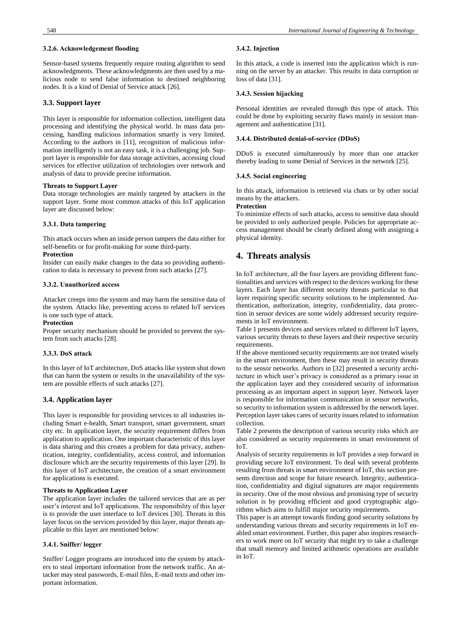#### **3.2.6. Acknowledgement flooding**

Sensor-based systems frequently require routing algorithm to send acknowledgments. These acknowledgments are then used by a malicious node to send false information to destined neighboring nodes. It is a kind of Denial of Service attack [26].

## **3.3. Support layer**

This layer is responsible for information collection, intelligent data processing and identifying the physical world. In mass data processing, handling malicious information smartly is very limited. According to the authors in [11], recognition of malicious information intelligently is not an easy task, it is a challenging job. Support layer is responsible for data storage activities, accessing cloud services for effective utilization of technologies over network and analysis of data to provide precise information.

#### **Threats to Support Layer**

Data storage technologies are mainly targeted by attackers in the support layer. Some most common attacks of this IoT application layer are discussed below:

#### **3.3.1. Data tampering**

This attack occurs when an inside person tampers the data either for self-benefits or for profit-making for some third-party.

#### **Protection**

Insider can easily make changes to the data so providing authentication to data is necessary to prevent from such attacks [27].

#### **3.3.2. Unauthorized access**

Attacker creeps into the system and may harm the sensitive data of the system. Attacks like, preventing access to related IoT services is one such type of attack.

#### **Protection**

Proper security mechanism should be provided to prevent the system from such attacks [28].

#### **3.3.3. DoS attack**

In this layer of IoT architecture, DoS attacks like system shut down that can harm the system or results in the unavailability of the system are possible effects of such attacks [27].

#### **3.4. Application layer**

This layer is responsible for providing services to all industries including Smart e-health, Smart transport, smart government, smart city etc. In application layer, the security requirement differs from application to application. One important characteristic of this layer is data sharing and this creates a problem for data privacy, authentication, integrity, confidentiality, access control, and information disclosure which are the security requirements of this layer [29]. In this layer of IoT architecture, the creation of a smart environment for applications is executed.

#### **Threats to Application Layer**

The application layer includes the tailored services that are as per user's interest and IoT applications. The responsibility of this layer is to provide the user interface to IoT devices [30]. Threats in this layer focus on the services provided by this layer, major threats applicable to this layer are mentioned below:

## **3.4.1. Sniffer/ logger**

Sniffer/ Logger programs are introduced into the system by attackers to steal important information from the network traffic. An attacker may steal passwords, E-mail files, E-mail texts and other important information.

#### **3.4.2. Injection**

In this attack, a code is inserted into the application which is running on the server by an attacker. This results in data corruption or loss of data [31].

#### **3.4.3. Session hijacking**

Personal identities are revealed through this type of attack. This could be done by exploiting security flaws mainly in session management and authentication [31].

#### **3.4.4. Distributed denial-of-service (DDoS)**

DDoS is executed simultaneously by more than one attacker thereby leading to some Denial of Services in the network [25].

#### **3.4.5. Social engineering**

In this attack, information is retrieved via chats or by other social means by the attackers.

## **Protection**

To minimize effects of such attacks, access to sensitive data should be provided to only authorized people. Policies for appropriate access management should be clearly defined along with assigning a physical identity.

# **4. Threats analysis**

In IoT architecture, all the four layers are providing different functionalities and services with respect to the devices working for these layers. Each layer has different security threats particular to that layer requiring specific security solutions to be implemented. Authentication, authorization, integrity, confidentiality, data protection in sensor devices are some widely addressed security requirements in IoT environment.

Table 1 presents devices and services related to different IoT layers, various security threats to these layers and their respective security requirements.

If the above mentioned security requirements are not treated wisely in the smart environment, then these may result in security threats to the sensor networks. Authors in [32] presented a security architecture in which user's privacy is considered as a primary issue in the application layer and they considered security of information processing as an important aspect in support layer. Network layer is responsible for information communication in sensor networks, so security to information system is addressed by the network layer. Perception layer takes cares of security issues related to information collection.

Table 2 presents the description of various security risks which are also considered as security requirements in smart environment of IoT.

Analysis of security requirements in IoT provides a step forward in providing secure IoT environment. To deal with several problems resulting from threats in smart environment of IoT, this section presents direction and scope for future research. Integrity, authentication, confidentiality and digital signatures are major requirements in security. One of the most obvious and promising type of security solution is by providing efficient and good cryptographic algorithms which aims to fulfill major security requirements.

This paper is an attempt towards finding good security solutions by understanding various threats and security requirements in IoT enabled smart environment. Further, this paper also inspires researchers to work more on IoT security that might try to take a challenge that small memory and limited arithmetic operations are available in IoT.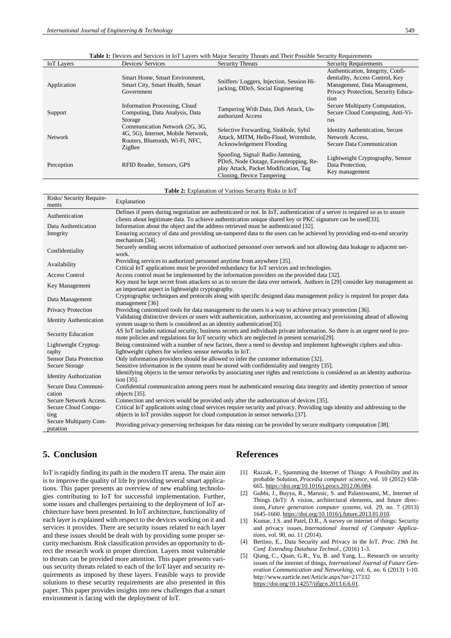| Fable 1: Devices and Services in IoT Layers with Major Security Threats and Their Possible Security Requirements |                                                                                                                   |                                                                                                                                                |                                                                                                                                                     |
|------------------------------------------------------------------------------------------------------------------|-------------------------------------------------------------------------------------------------------------------|------------------------------------------------------------------------------------------------------------------------------------------------|-----------------------------------------------------------------------------------------------------------------------------------------------------|
| <b>IoT</b> Layers                                                                                                | Devices/ Services                                                                                                 | <b>Security Threats</b>                                                                                                                        | <b>Security Requirements</b>                                                                                                                        |
| Application                                                                                                      | Smart Home, Smart Environment,<br>Smart City, Smart Health, Smart<br>Government                                   | Sniffers/Loggers, Injection, Session Hi-<br>jacking, DDoS, Social Engineering                                                                  | Authentication, Integrity, Confi-<br>dentiality, Access Control, Key<br>Management, Data Management,<br>Privacy Protection, Security Educa-<br>tion |
| Support                                                                                                          | Information Processing, Cloud<br>Computing, Data Analysis, Data<br>Storage                                        | Tampering With Data, DoS Attack, Un-<br>authorized Access                                                                                      | Secure Multiparty Computation,<br>Secure Cloud Computing, Anti-Vi-<br>rus                                                                           |
| <b>Network</b>                                                                                                   | Communication Network (2G, 3G,<br>4G, 5G), Internet, Mobile Network,<br>Routers, Bluetooth, Wi-Fi, NFC,<br>ZigBee | Selective Forwarding, Sinkhole, Sybil<br>Attack, MITM, Hello-Flood, Wormhole,<br>Acknowledgement Flooding                                      | <b>Identity Authentication, Secure</b><br>Network Access.<br>Secure Data Communication                                                              |
| Perception                                                                                                       | RFID Reader, Sensors, GPS                                                                                         | Spoofing, Signal/Radio Jamming,<br>PDoS, Node Outage, Eavesdropping, Re-<br>play Attack, Packet Modification, Tag<br>Cloning, Device Tampering | Lightweight Cryptography, Sensor<br>Data Protection,<br>Key management                                                                              |
|                                                                                                                  |                                                                                                                   |                                                                                                                                                |                                                                                                                                                     |

| Table 1: Devices and Services in IoT Lavers with Maior Security Threats and Their Possible Security Requirements |  |
|------------------------------------------------------------------------------------------------------------------|--|
|------------------------------------------------------------------------------------------------------------------|--|

#### **Table 2:** Explanation of Various Security Risks in IoT

| Risks/Security Require-<br>ments   | Explanation                                                                                                                                                                                                                                   |
|------------------------------------|-----------------------------------------------------------------------------------------------------------------------------------------------------------------------------------------------------------------------------------------------|
| Authentication                     | Defines if peers during negotiation are authenticated or not. In IoT, authentication of a server is required so as to assure<br>clients about legitimate data. To achieve authentication unique shared key or PKC signature can be used [33]. |
| Data Authentication                | Information about the object and the address retrieved must be authenticated [32].                                                                                                                                                            |
| Integrity                          | Ensuring accuracy of data and providing un-tampered data to the users can be achieved by providing end-to-end security<br>mechanism [34].                                                                                                     |
| Confidentiality                    | Securely sending secret information of authorized personnel over network and not allowing data leakage to adjacent net-<br>work.                                                                                                              |
| Availability                       | Providing services to authorized personnel anytime from anywhere [35].                                                                                                                                                                        |
|                                    | Critical IoT applications must be provided redundancy for IoT services and technologies.                                                                                                                                                      |
| <b>Access Control</b>              | Access control must be implemented by the information providers on the provided data [32].                                                                                                                                                    |
| Key Management                     | Key must be kept secret from attackers so as to secure the data over network. Authors in [29] consider key management as<br>an important aspect in lightweight cryptography.                                                                  |
| Data Management                    | Cryptographic techniques and protocols along with specific designed data management policy is required for proper data<br>management [36]                                                                                                     |
| <b>Privacy Protection</b>          | Providing customized tools for data management to the users is a way to achieve privacy protection [36].                                                                                                                                      |
| <b>Identity Authentication</b>     | Validating distinctive devices or users with authentication, authorization, accounting and provisioning ahead of allowing<br>system usage to them is considered as an identity authentication [35].                                           |
| Security Education                 | AS IoT includes national security, business secrets and individuals private information. So there is an urgent need to pro-<br>mote policies and regulations for IoT security which are neglected in present scenario [29].                   |
| Lightweight Cryptog-<br>raphy      | Being constrained with a number of new factors, there a need to develop and implement lightweight ciphers and ultra-<br>lightweight ciphers for wireless sensor networks in IoT.                                                              |
| <b>Sensor Data Protection</b>      | Only information providers should be allowed to infer the customer information [32].                                                                                                                                                          |
| <b>Secure Storage</b>              | Sensitive information in the system must be stored with confidentiality and integrity [35].                                                                                                                                                   |
| <b>Identity Authorization</b>      | Identifying objects in the sensor networks by associating user rights and restrictions is considered as an identity authoriza-<br>tion $[35]$ .                                                                                               |
| Secure Data Communi-               | Confidential communication among peers must be authenticated ensuring data integrity and identity protection of sensor                                                                                                                        |
| cation                             | objects [35].                                                                                                                                                                                                                                 |
| Secure Network Access.             | Connection and services would be provided only after the authorization of devices [35].                                                                                                                                                       |
| Secure Cloud Compu-                | Critical IoT applications using cloud services require security and privacy. Providing tags identity and addressing to the                                                                                                                    |
| ting                               | objects in IoT provides support for cloud computation in sensor networks [37].                                                                                                                                                                |
| Secure Multiparty Com-<br>putation | Providing privacy-preserving techniques for data mining can be provided by secure multiparty computation [38].                                                                                                                                |

# **5. Conclusion**

IoT is rapidly finding its path in the modern IT arena. The main aim is to improve the quality of life by providing several smart applications. This paper presents an overview of new enabling technologies contributing to IoT for successful implementation. Further, some issues and challenges pertaining to the deployment of IoT architecture have been presented. In IoT architecture, functionality of each layer is explained with respect to the devices working on it and services it provides. There are security issues related to each layer and these issues should be dealt with by providing some proper security mechanism. Risk classification provides an opportunity to direct the research work in proper direction. Layers most vulnerable to threats can be provided more attention. This paper presents various security threats related to each of the IoT layer and security requirements as imposed by these layers. Feasible ways to provide solutions to these security requirements are also presented in this paper. This paper provides insights into new challenges that a smart environment is facing with the deployment of IoT.

# **References**

- [1] Razzak, F., Spamming the Internet of Things: A Possibility and its probable Solution, *Procedia computer science*, vol. 10 (2012) 658- 665[. https://doi.org/10.1016/j.procs.2012.06.084.](https://doi.org/10.1016/j.procs.2012.06.084)
- [2] Gubbi, J., Buyya, R., Marusic, S. and Palaniswami, M., Internet of Things (IoT): A vision, architectural elements, and future directions, *Future generation computer systems*, vol. 29, no. 7 (2013) 1645-1660[. https://doi.org/10.1016/j.future.2013.01.010.](https://doi.org/10.1016/j.future.2013.01.010)
- [3] Kumar, J.S. and Patel, D.R., A survey on internet of things: Security and privacy issues, *International Journal of Computer Applications*, vol. 90, no. 11 (2014).
- [4] Bertino, E., Data Security and Privacy in the IoT, *Proc. 19th Int. Conf. Extending Database Technol.*, (2016) 1-3.
- [5] Qiang, C., Quan, G.R., Yu, B. and Yang, L., Research on security issues of the internet of things, *International Journal of Future Generation Communication and Networking*, vol. 6, no. 6 (2013) 1-10. <http://www.earticle.net/Article.aspx?sn=217332> [https://doi.org/10.14257/ijfgcn.2013.6.6.01.](https://doi.org/10.14257/ijfgcn.2013.6.6.01)